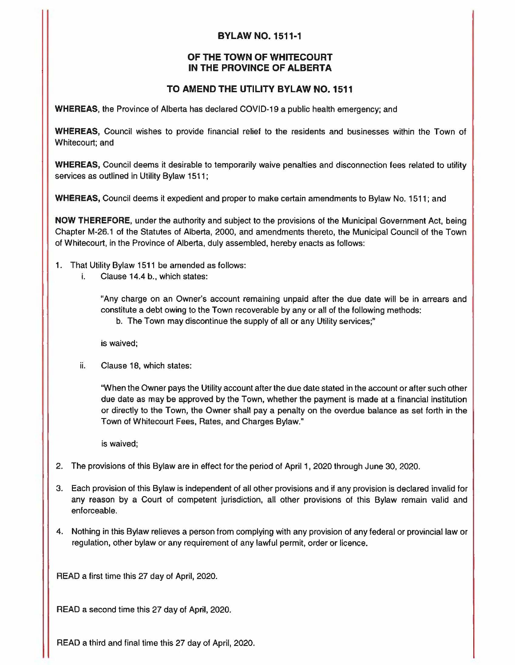## **BYLAW NO. 1511·1**

## **OF THE TOWN OF WHITECOURT IN THE PROVINCE OF ALBERTA**

## **TO AMEND THE UTILITY BYLAW NO. 1511**

**WHEREAS,** the Province of Alberta has declared COVID-19 a public health emergency; and

**WHEREAS,** Council wishes to provide financial relief to the residents and businesses within the Town of Whitecourt; and

**WHEREAS,** Council deems it desirable to temporarily waive penalties and disconnection fees related to utility services as outlined in Utility Bylaw 1511;

**WHEREAS,** Council deems it expedient and proper to make certain amendments to Bylaw No. 1511; and

**NOW THEREFORE,** under the authority and subject to the provisions of the Municipal Government Act, being Chapter M-26.1 of the Statutes of Alberta, 2000, and amendments thereto, the Municipal Council of the Town of Whitecourt, in the Province of Alberta, duly assembled, hereby enacts as follows:

- 1. That Utility Bylaw 1511 be amended as follows:
	- i. Clause 14.4 b., which states:

"Any charge on an Owner's account remaining unpaid after the due date will be in arrears and constitute a debt owing to the Town recoverable by any or all of the following methods:

b. The Town may discontinue the supply of all or any Utility services;"

is waived;

ii. Clause 18, which states:

"When the Owner pays the Utility account after the due date stated in the account or after such other due date as may be approved by the Town, whether the payment is made at a financial institution or directly to the Town, the Owner shall pay a penalty on the overdue balance as set forth in the Town of Whitecourt Fees, Rates, and Charges Bylaw."

is waived;

- 2. The provisions of this Bylaw are in effect for the period of April 1, 2020 through June 30, 2020.
- 3. Each provision of this Bylaw is independent of all other provisions and if any provision is declared invalid for any reason by a Court of competent jurisdiction, all other provisions of this Bylaw remain valid and enforceable.
- 4. Nothing in this Bylaw relieves a person from complying with any provision of any federal or provincial law or regulation, other bylaw or any requirement of any lawful permit, order or licence.

READ a first time this 27 day of April, 2020.

READ a second time this 27 day of April, 2020.

READ a third and final time this 27 day of April, 2020.